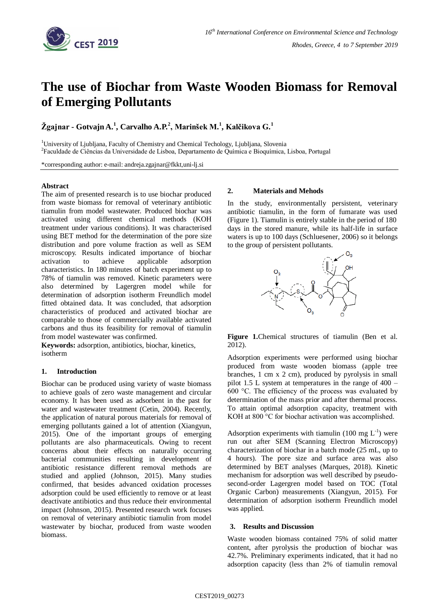

# **The use of Biochar from Waste Wooden Biomass for Removal of Emerging Pollutants**

**Žgajnar - Gotvajn A. 1 , Carvalho A.P.<sup>2</sup> , Marinšek M.<sup>1</sup> , Kalčikova G.<sup>1</sup>**

<sup>1</sup>University of Ljubljana, Faculty of Chemistry and Chemical Techology, Ljubljana, Slovenia <sup>2</sup>Faculdade de Ciências da Universidade de Lisboa, Departamento de Química e Bioquímica, Lisboa, Portugal

\*corresponding author: e-mail: andreja.zgajnar@fkkt,uni-lj.si

# **Abstract**

The aim of presented research is to use biochar produced from waste biomass for removal of veterinary antibiotic tiamulin from model wastewater. Produced biochar was activated using different chemical methods (KOH treatment under various conditions). It was characterised using BET method for the determination of the pore size distribution and pore volume fraction as well as SEM microscopy. Results indicated importance of biochar activation to achieve applicable adsorption characteristics. In 180 minutes of batch experiment up to 78% of tiamulin was removed. Kinetic parameters were also determined by Lagergren model while for determination of adsorption isotherm Freundlich model fitted obtained data. It was concluded, that adsorption characteristics of produced and activated biochar are comparable to those of commercially available activated carbons and thus its feasibility for removal of tiamulin from model wastewater was confirmed.

**Keywords:** adsorption, antibiotics, biochar, kinetics, isotherm

# **1. Introduction**

Biochar can be produced using variety of waste biomass to achieve goals of zero waste management and circular economy. It has been used as adsorbent in the past for water and wastewater treatment (Cetin, 2004). Recently, the application of natural porous materials for removal of emerging pollutants gained a lot of attention (Xiangyun, 2015). One of the important groups of emerging pollutants are also pharmaceuticals. Owing to recent concerns about their effects on naturally occurring bacterial communities resulting in development of antibiotic resistance different removal methods are studied and applied (Johnson, 2015). Many studies confirmed, that besides advanced oxidation processes adsorption could be used efficiently to remove or at least deactivate antibiotics and thus reduce their environmental impact (Johnson, 2015). Presented research work focuses on removal of veterinary antibiotic tiamulin from model wastewater by biochar, produced from waste wooden biomass.

### **2. Materials and Mehods**

In the study, environmentally persistent, veterinary antibiotic tiamulin, in the form of fumarate was used (Figure 1). Tiamulin is entirely stable in the period of 180 days in the stored manure, while its half-life in surface waters is up to 100 days (Schluesener, 2006) so it belongs to the group of persistent pollutants.



**Figure 1.**Chemical structures of tiamulin (Ben et al. 2012).

Adsorption experiments were performed using biochar produced from waste wooden biomass (apple tree branches, 1 cm x 2 cm), produced by pyrolysis in small pilot 1.5 L system at temperatures in the range of 400 – 600 °C. The efficiency of the process was evaluated by determination of the mass prior and after thermal process. To attain optimal adsorption capacity, treatment with KOH at 800 °C for biochar activation was accomplished.

Adsorption experiments with tiamulin (100 mg  $L^{-1}$ ) were run out after SEM (Scanning Electron Microscopy) characterization of biochar in a batch mode (25 mL, up to 4 hours). The pore size and surface area was also determined by BET analyses (Marques, 2018). Kinetic mechanism for adsorption was well described by pseudosecond-order Lagergren model based on TOC (Total Organic Carbon) measurements (Xiangyun, 2015). For determination of adsorption isotherm Freundlich model was applied.

#### **3. Results and Discussion**

Waste wooden biomass contained 75% of solid matter content, after pyrolysis the production of biochar was 42.7%. Preliminary experiments indicated, that it had no adsorption capacity (less than 2% of tiamulin removal